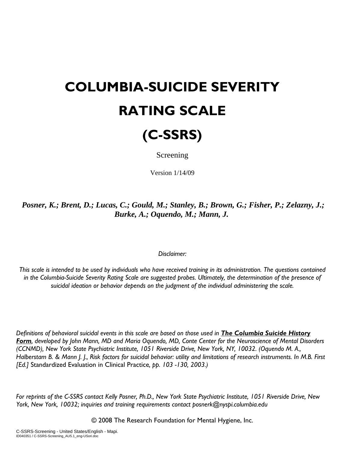## **COLUMBIA-SUICIDE SEVERITY RATING SCALE**



Screening

Version 1/14/09

*Posner, K.; Brent, D.; Lucas, C.; Gould, M.; Stanley, B.; Brown, G.; Fisher, P.; Zelazny, J.; Burke, A.; Oquendo, M.; Mann, J.*

## *Disclaimer:*

*This scale is intended to be used by individuals who have received training in its administration. The questions contained in the Columbia-Suicide Severity Rating Scale are suggested probes. Ultimately, the determination of the presence of suicidal ideation or behavior depends on the judgment of the individual administering the scale.* 

*Definitions of behavioral suicidal events in this scale are based on those used in The Columbia Suicide History Form, developed by John Mann, MD and Maria Oquendo, MD, Conte Center for the Neuroscience of Mental Disorders (CCNMD), New York State Psychiatric Institute, 1051 Riverside Drive, New York, NY, 10032. (Oquendo M. A., Halberstam B. & Mann J. J., Risk factors for suicidal behavior: utility and limitations of research instruments. In M.B. First [Ed.]* Standardized Evaluation in Clinical Practice*, pp. 103 -130, 2003.)* 

*For reprints of the C-SSRS contact Kelly Posner, Ph.D., New York State Psychiatric Institute, 1051 Riverside Drive, New York, New York, 10032; inquiries and training requirements contact posnerk@nyspi.columbia.edu*

© 2008 The Research Foundation for Mental Hygiene, Inc.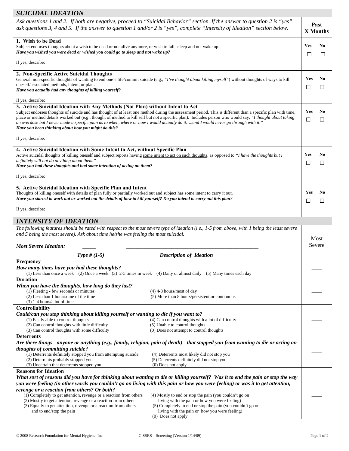| <b>SUICIDAL IDEATION</b>                                                                                                                                                                                                                                                                                                                                                                                                                                                                                                                                                                               |                                                                                                                                                                                                                                                        |                         |              |  |  |
|--------------------------------------------------------------------------------------------------------------------------------------------------------------------------------------------------------------------------------------------------------------------------------------------------------------------------------------------------------------------------------------------------------------------------------------------------------------------------------------------------------------------------------------------------------------------------------------------------------|--------------------------------------------------------------------------------------------------------------------------------------------------------------------------------------------------------------------------------------------------------|-------------------------|--------------|--|--|
|                                                                                                                                                                                                                                                                                                                                                                                                                                                                                                                                                                                                        | Ask questions 1 and 2. If both are negative, proceed to "Suicidal Behavior" section. If the answer to question 2 is "yes",<br>ask questions 3, 4 and 5. If the answer to question 1 and/or 2 is "yes", complete "Intensity of Ideation" section below. | Past<br><b>X</b> Months |              |  |  |
| 1. Wish to be Dead<br>Subject endorses thoughts about a wish to be dead or not alive anymore, or wish to fall asleep and not wake up.<br>Have you wished you were dead or wished you could go to sleep and not wake up?                                                                                                                                                                                                                                                                                                                                                                                |                                                                                                                                                                                                                                                        |                         | No<br>□      |  |  |
| If yes, describe:                                                                                                                                                                                                                                                                                                                                                                                                                                                                                                                                                                                      |                                                                                                                                                                                                                                                        |                         |              |  |  |
| 2. Non-Specific Active Suicidal Thoughts<br>General, non-specific thoughts of wanting to end one's life/commit suicide (e.g., " <i>I've thought about killing myself</i> ") without thoughts of ways to kill<br>oneself/associated methods, intent, or plan.<br>Have you actually had any thoughts of killing yourself?                                                                                                                                                                                                                                                                                |                                                                                                                                                                                                                                                        |                         | No<br>□      |  |  |
| If yes, describe:                                                                                                                                                                                                                                                                                                                                                                                                                                                                                                                                                                                      |                                                                                                                                                                                                                                                        |                         |              |  |  |
| 3. Active Suicidal Ideation with Any Methods (Not Plan) without Intent to Act<br>Subject endorses thoughts of suicide and has thought of at least one method during the assessment period. This is different than a specific plan with time,<br>place or method details worked out (e.g., thought of method to kill self but not a specific plan). Includes person who would say, "I thought about taking<br>an overdose but I never made a specific plan as to when, where or how I would actually do itand I would never go through with it."<br>Have you been thinking about how you might do this? |                                                                                                                                                                                                                                                        |                         | No<br>□      |  |  |
| If yes, describe:                                                                                                                                                                                                                                                                                                                                                                                                                                                                                                                                                                                      |                                                                                                                                                                                                                                                        |                         |              |  |  |
| 4. Active Suicidal Ideation with Some Intent to Act, without Specific Plan<br>Active suicidal thoughts of killing oneself and subject reports having some intent to act on such thoughts, as opposed to "I have the thoughts but I<br>definitely will not do anything about them."<br>Have you had these thoughts and had some intention of acting on them?                                                                                                                                                                                                                                            |                                                                                                                                                                                                                                                        |                         | No<br>$\Box$ |  |  |
| If yes, describe:                                                                                                                                                                                                                                                                                                                                                                                                                                                                                                                                                                                      |                                                                                                                                                                                                                                                        |                         |              |  |  |
| 5. Active Suicidal Ideation with Specific Plan and Intent<br>Thoughts of killing oneself with details of plan fully or partially worked out and subject has some intent to carry it out.<br>Have you started to work out or worked out the details of how to kill yourself? Do you intend to carry out this plan?                                                                                                                                                                                                                                                                                      |                                                                                                                                                                                                                                                        | Yes<br>□                | No<br>□      |  |  |
| If yes, describe:                                                                                                                                                                                                                                                                                                                                                                                                                                                                                                                                                                                      |                                                                                                                                                                                                                                                        |                         |              |  |  |
| <b>INTENSITY OF IDEATION</b>                                                                                                                                                                                                                                                                                                                                                                                                                                                                                                                                                                           |                                                                                                                                                                                                                                                        |                         |              |  |  |
| The following features should be rated with respect to the most severe type of ideation (i.e., 1-5 from above, with 1 being the least severe<br>and 5 being the most severe). Ask about time he/she was feeling the most suicidal.                                                                                                                                                                                                                                                                                                                                                                     |                                                                                                                                                                                                                                                        |                         | Most         |  |  |
| <b>Most Severe Ideation:</b>                                                                                                                                                                                                                                                                                                                                                                                                                                                                                                                                                                           |                                                                                                                                                                                                                                                        |                         | Severe       |  |  |
| Type # $(1-5)$                                                                                                                                                                                                                                                                                                                                                                                                                                                                                                                                                                                         | <b>Description of Ideation</b>                                                                                                                                                                                                                         |                         |              |  |  |
| Frequency<br>How many times have you had these thoughts?<br>(1) Less than once a week (2) Once a week (3) 2-5 times in week (4) Daily or almost daily (5) Many times each day                                                                                                                                                                                                                                                                                                                                                                                                                          |                                                                                                                                                                                                                                                        |                         |              |  |  |
| <b>Duration</b>                                                                                                                                                                                                                                                                                                                                                                                                                                                                                                                                                                                        |                                                                                                                                                                                                                                                        |                         |              |  |  |
| When you have the thoughts, how long do they last?<br>(1) Fleeting - few seconds or minutes                                                                                                                                                                                                                                                                                                                                                                                                                                                                                                            | $(4)$ 4-8 hours/most of day                                                                                                                                                                                                                            |                         |              |  |  |
| (2) Less than 1 hour/some of the time                                                                                                                                                                                                                                                                                                                                                                                                                                                                                                                                                                  | (5) More than 8 hours/persistent or continuous                                                                                                                                                                                                         |                         |              |  |  |
| $(3)$ 1-4 hours/a lot of time<br>Controllability                                                                                                                                                                                                                                                                                                                                                                                                                                                                                                                                                       |                                                                                                                                                                                                                                                        |                         |              |  |  |
| Could/can you stop thinking about killing yourself or wanting to die if you want to?<br>(1) Easily able to control thoughts<br>(2) Can control thoughts with little difficulty<br>(3) Can control thoughts with some difficulty                                                                                                                                                                                                                                                                                                                                                                        | (4) Can control thoughts with a lot of difficulty<br>(5) Unable to control thoughts<br>(0) Does not attempt to control thoughts                                                                                                                        |                         |              |  |  |
| <b>Deterrents</b>                                                                                                                                                                                                                                                                                                                                                                                                                                                                                                                                                                                      |                                                                                                                                                                                                                                                        |                         |              |  |  |
| thoughts of committing suicide?<br>(1) Deterrents definitely stopped you from attempting suicide<br>(2) Deterrents probably stopped you<br>(3) Uncertain that deterrents stopped you                                                                                                                                                                                                                                                                                                                                                                                                                   | Are there things - anyone or anything (e.g., family, religion, pain of death) - that stopped you from wanting to die or acting on<br>(4) Deterrents most likely did not stop you<br>(5) Deterrents definitely did not stop you<br>$(0)$ Does not apply |                         |              |  |  |
| <b>Reasons for Ideation</b>                                                                                                                                                                                                                                                                                                                                                                                                                                                                                                                                                                            |                                                                                                                                                                                                                                                        |                         |              |  |  |
| What sort of reasons did you have for thinking about wanting to die or killing yourself? Was it to end the pain or stop the way<br>you were feeling (in other words you couldn't go on living with this pain or how you were feeling) or was it to get attention,                                                                                                                                                                                                                                                                                                                                      |                                                                                                                                                                                                                                                        |                         |              |  |  |
| revenge or a reaction from others? Or both?<br>(1) Completely to get attention, revenge or a reaction from others<br>(2) Mostly to get attention, revenge or a reaction from others<br>(3) Equally to get attention, revenge or a reaction from others<br>and to end/stop the pain                                                                                                                                                                                                                                                                                                                     | (4) Mostly to end or stop the pain (you couldn't go on<br>living with the pain or how you were feeling)<br>(5) Completely to end or stop the pain (you couldn't go on<br>living with the pain or how you were feeling)<br>$(0)$ Does not apply         |                         |              |  |  |